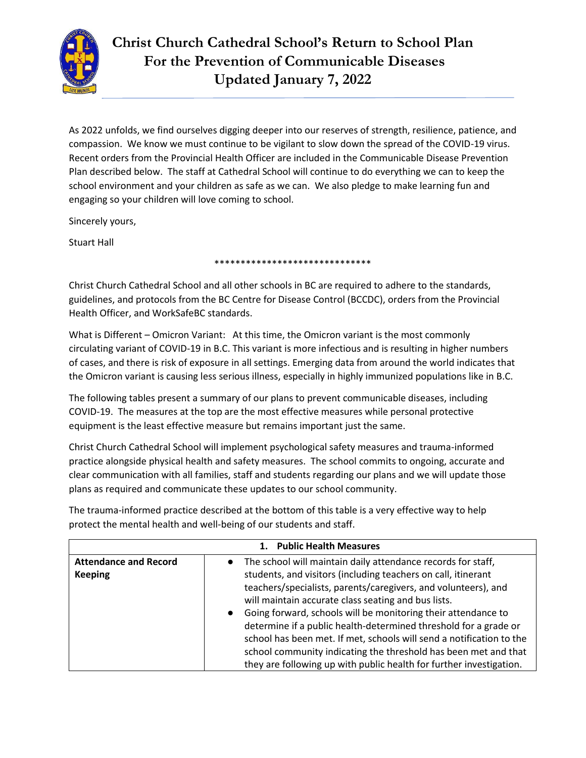

As 2022 unfolds, we find ourselves digging deeper into our reserves of strength, resilience, patience, and compassion. We know we must continue to be vigilant to slow down the spread of the COVID-19 virus. Recent orders from the Provincial Health Officer are included in the Communicable Disease Prevention Plan described below. The staff at Cathedral School will continue to do everything we can to keep the school environment and your children as safe as we can. We also pledge to make learning fun and engaging so your children will love coming to school.

Sincerely yours,

Stuart Hall

\*\*\*\*\*\*\*\*\*\*\*\*\*\*\*\*\*\*\*\*\*\*\*\*\*\*\*\*\*\*

Christ Church Cathedral School and all other schools in BC are required to adhere to the standards, guidelines, and protocols from the BC Centre for Disease Control (BCCDC), orders from the Provincial Health Officer, and WorkSafeBC standards.

What is Different – Omicron Variant: At this time, the Omicron variant is the most commonly circulating variant of COVID-19 in B.C. This variant is more infectious and is resulting in higher numbers of cases, and there is risk of exposure in all settings. Emerging data from around the world indicates that the Omicron variant is causing less serious illness, especially in highly immunized populations like in B.C.

The following tables present a summary of our plans to prevent communicable diseases, including COVID-19. The measures at the top are the most effective measures while personal protective equipment is the least effective measure but remains important just the same.

Christ Church Cathedral School will implement psychological safety measures and trauma-informed practice alongside physical health and safety measures. The school commits to ongoing, accurate and clear communication with all families, staff and students regarding our plans and we will update those plans as required and communicate these updates to our school community.

| <b>Public Health Measures</b><br>$\mathbf{1}$ . |                                                                                                                                                                                                                                                                                                                                                                                                                                                                                                                                                                                                                              |
|-------------------------------------------------|------------------------------------------------------------------------------------------------------------------------------------------------------------------------------------------------------------------------------------------------------------------------------------------------------------------------------------------------------------------------------------------------------------------------------------------------------------------------------------------------------------------------------------------------------------------------------------------------------------------------------|
| <b>Attendance and Record</b><br><b>Keeping</b>  | • The school will maintain daily attendance records for staff,<br>students, and visitors (including teachers on call, itinerant<br>teachers/specialists, parents/caregivers, and volunteers), and<br>will maintain accurate class seating and bus lists.<br>Going forward, schools will be monitoring their attendance to<br>$\bullet$<br>determine if a public health-determined threshold for a grade or<br>school has been met. If met, schools will send a notification to the<br>school community indicating the threshold has been met and that<br>they are following up with public health for further investigation. |

The trauma-informed practice described at the bottom of this table is a very effective way to help protect the mental health and well-being of our students and staff.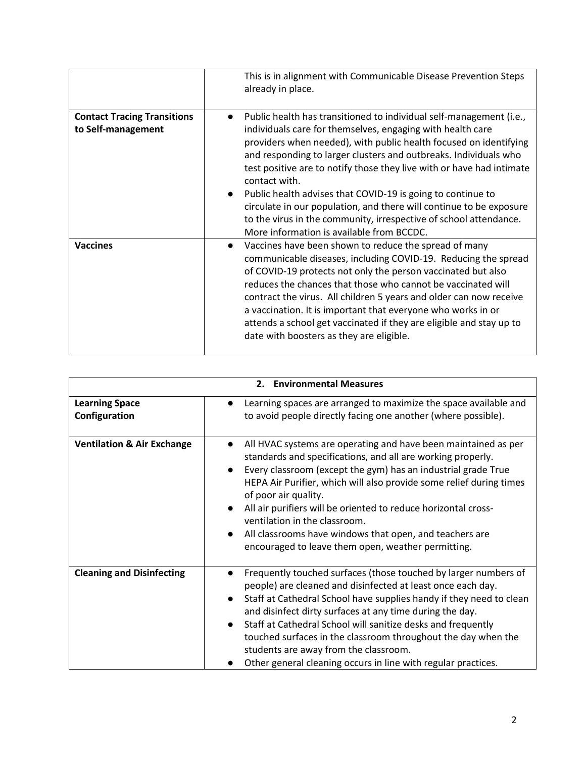|                                                          | This is in alignment with Communicable Disease Prevention Steps<br>already in place.                                                                                                                                                                                                                                                                                                                                                                                                                                                                                                                                         |
|----------------------------------------------------------|------------------------------------------------------------------------------------------------------------------------------------------------------------------------------------------------------------------------------------------------------------------------------------------------------------------------------------------------------------------------------------------------------------------------------------------------------------------------------------------------------------------------------------------------------------------------------------------------------------------------------|
| <b>Contact Tracing Transitions</b><br>to Self-management | Public health has transitioned to individual self-management (i.e.,<br>individuals care for themselves, engaging with health care<br>providers when needed), with public health focused on identifying<br>and responding to larger clusters and outbreaks. Individuals who<br>test positive are to notify those they live with or have had intimate<br>contact with.<br>Public health advises that COVID-19 is going to continue to<br>circulate in our population, and there will continue to be exposure<br>to the virus in the community, irrespective of school attendance.<br>More information is available from BCCDC. |
| <b>Vaccines</b>                                          | Vaccines have been shown to reduce the spread of many<br>$\bullet$<br>communicable diseases, including COVID-19. Reducing the spread<br>of COVID-19 protects not only the person vaccinated but also<br>reduces the chances that those who cannot be vaccinated will<br>contract the virus. All children 5 years and older can now receive<br>a vaccination. It is important that everyone who works in or<br>attends a school get vaccinated if they are eligible and stay up to<br>date with boosters as they are eligible.                                                                                                |

| 2. Environmental Measures              |                                                                                                                                                                                                                                                                                                                                                                                                                                                                                                                   |
|----------------------------------------|-------------------------------------------------------------------------------------------------------------------------------------------------------------------------------------------------------------------------------------------------------------------------------------------------------------------------------------------------------------------------------------------------------------------------------------------------------------------------------------------------------------------|
| <b>Learning Space</b><br>Configuration | Learning spaces are arranged to maximize the space available and<br>to avoid people directly facing one another (where possible).                                                                                                                                                                                                                                                                                                                                                                                 |
| <b>Ventilation &amp; Air Exchange</b>  | All HVAC systems are operating and have been maintained as per<br>standards and specifications, and all are working properly.<br>Every classroom (except the gym) has an industrial grade True<br>HEPA Air Purifier, which will also provide some relief during times<br>of poor air quality.<br>All air purifiers will be oriented to reduce horizontal cross-<br>ventilation in the classroom.<br>All classrooms have windows that open, and teachers are<br>encouraged to leave them open, weather permitting. |
| <b>Cleaning and Disinfecting</b>       | Frequently touched surfaces (those touched by larger numbers of<br>people) are cleaned and disinfected at least once each day.<br>Staff at Cathedral School have supplies handy if they need to clean<br>and disinfect dirty surfaces at any time during the day.<br>Staff at Cathedral School will sanitize desks and frequently<br>touched surfaces in the classroom throughout the day when the<br>students are away from the classroom.<br>Other general cleaning occurs in line with regular practices.      |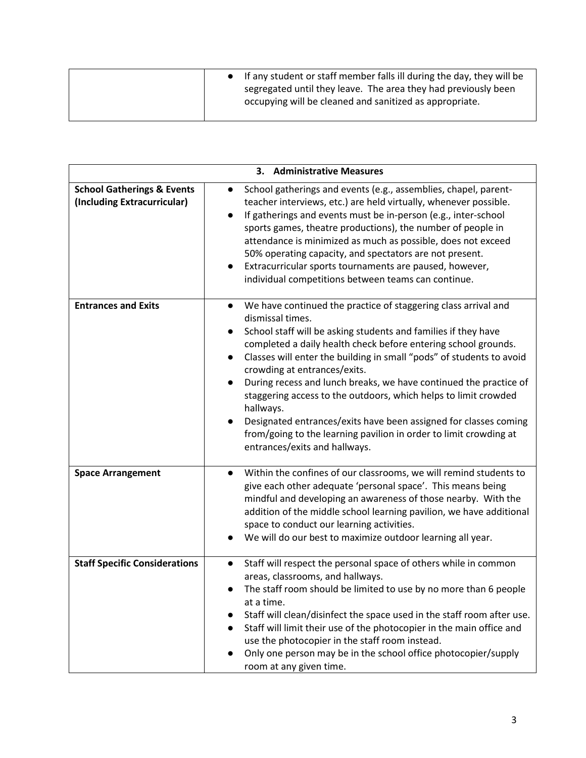|  | • If any student or staff member falls ill during the day, they will be |
|--|-------------------------------------------------------------------------|
|  | segregated until they leave. The area they had previously been          |
|  | occupying will be cleaned and sanitized as appropriate.                 |
|  |                                                                         |

| 3. Administrative Measures                                           |                                                                                                                                                                                                                                                                                                                                                                                                                                                                                                                                                                                                                                                                                         |
|----------------------------------------------------------------------|-----------------------------------------------------------------------------------------------------------------------------------------------------------------------------------------------------------------------------------------------------------------------------------------------------------------------------------------------------------------------------------------------------------------------------------------------------------------------------------------------------------------------------------------------------------------------------------------------------------------------------------------------------------------------------------------|
| <b>School Gatherings &amp; Events</b><br>(Including Extracurricular) | School gatherings and events (e.g., assemblies, chapel, parent-<br>$\bullet$<br>teacher interviews, etc.) are held virtually, whenever possible.<br>If gatherings and events must be in-person (e.g., inter-school<br>sports games, theatre productions), the number of people in<br>attendance is minimized as much as possible, does not exceed<br>50% operating capacity, and spectators are not present.<br>Extracurricular sports tournaments are paused, however,<br>individual competitions between teams can continue.                                                                                                                                                          |
| <b>Entrances and Exits</b>                                           | We have continued the practice of staggering class arrival and<br>dismissal times.<br>School staff will be asking students and families if they have<br>$\bullet$<br>completed a daily health check before entering school grounds.<br>Classes will enter the building in small "pods" of students to avoid<br>$\bullet$<br>crowding at entrances/exits.<br>During recess and lunch breaks, we have continued the practice of<br>staggering access to the outdoors, which helps to limit crowded<br>hallways.<br>Designated entrances/exits have been assigned for classes coming<br>from/going to the learning pavilion in order to limit crowding at<br>entrances/exits and hallways. |
| <b>Space Arrangement</b>                                             | Within the confines of our classrooms, we will remind students to<br>$\bullet$<br>give each other adequate 'personal space'. This means being<br>mindful and developing an awareness of those nearby. With the<br>addition of the middle school learning pavilion, we have additional<br>space to conduct our learning activities.<br>We will do our best to maximize outdoor learning all year.                                                                                                                                                                                                                                                                                        |
| <b>Staff Specific Considerations</b>                                 | Staff will respect the personal space of others while in common<br>areas, classrooms, and hallways.<br>The staff room should be limited to use by no more than 6 people<br>at a time.<br>Staff will clean/disinfect the space used in the staff room after use.<br>Staff will limit their use of the photocopier in the main office and<br>use the photocopier in the staff room instead.<br>Only one person may be in the school office photocopier/supply<br>room at any given time.                                                                                                                                                                                                  |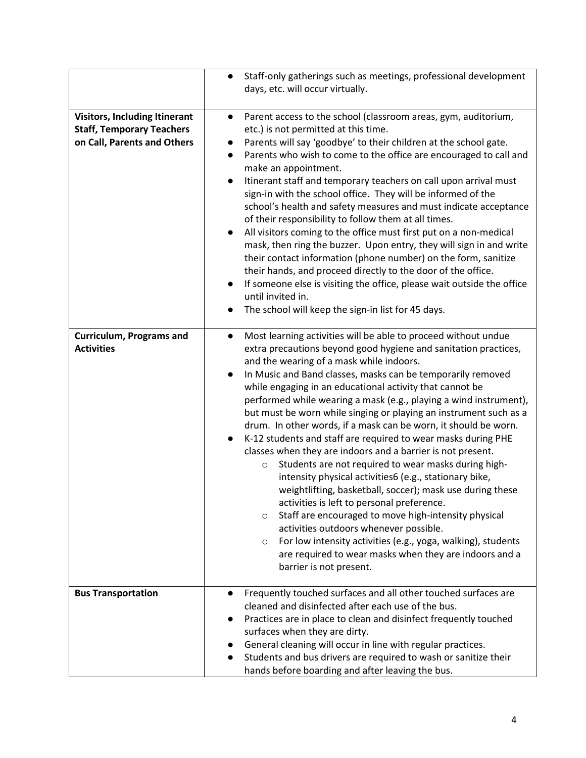|                                      | Staff-only gatherings such as meetings, professional development<br>$\bullet$                                                     |
|--------------------------------------|-----------------------------------------------------------------------------------------------------------------------------------|
|                                      | days, etc. will occur virtually.                                                                                                  |
|                                      |                                                                                                                                   |
| <b>Visitors, Including Itinerant</b> | Parent access to the school (classroom areas, gym, auditorium,<br>$\bullet$                                                       |
| <b>Staff, Temporary Teachers</b>     | etc.) is not permitted at this time.                                                                                              |
| on Call, Parents and Others          | Parents will say 'goodbye' to their children at the school gate.                                                                  |
|                                      | Parents who wish to come to the office are encouraged to call and                                                                 |
|                                      | make an appointment.<br>Itinerant staff and temporary teachers on call upon arrival must                                          |
|                                      | sign-in with the school office. They will be informed of the                                                                      |
|                                      | school's health and safety measures and must indicate acceptance                                                                  |
|                                      | of their responsibility to follow them at all times.                                                                              |
|                                      | All visitors coming to the office must first put on a non-medical<br>$\bullet$                                                    |
|                                      | mask, then ring the buzzer. Upon entry, they will sign in and write                                                               |
|                                      | their contact information (phone number) on the form, sanitize                                                                    |
|                                      | their hands, and proceed directly to the door of the office.                                                                      |
|                                      | If someone else is visiting the office, please wait outside the office<br>$\bullet$                                               |
|                                      | until invited in.                                                                                                                 |
|                                      | The school will keep the sign-in list for 45 days.                                                                                |
|                                      |                                                                                                                                   |
| <b>Curriculum, Programs and</b>      | Most learning activities will be able to proceed without undue<br>$\bullet$                                                       |
| <b>Activities</b>                    | extra precautions beyond good hygiene and sanitation practices,                                                                   |
|                                      | and the wearing of a mask while indoors.<br>In Music and Band classes, masks can be temporarily removed<br>$\bullet$              |
|                                      | while engaging in an educational activity that cannot be                                                                          |
|                                      | performed while wearing a mask (e.g., playing a wind instrument),                                                                 |
|                                      | but must be worn while singing or playing an instrument such as a                                                                 |
|                                      | drum. In other words, if a mask can be worn, it should be worn.                                                                   |
|                                      | K-12 students and staff are required to wear masks during PHE                                                                     |
|                                      | classes when they are indoors and a barrier is not present.                                                                       |
|                                      | Students are not required to wear masks during high-<br>$\circ$                                                                   |
|                                      | intensity physical activities6 (e.g., stationary bike,                                                                            |
|                                      | weightlifting, basketball, soccer); mask use during these                                                                         |
|                                      | activities is left to personal preference.                                                                                        |
|                                      | Staff are encouraged to move high-intensity physical<br>$\circ$                                                                   |
|                                      | activities outdoors whenever possible.                                                                                            |
|                                      | For low intensity activities (e.g., yoga, walking), students<br>$\circ$<br>are required to wear masks when they are indoors and a |
|                                      | barrier is not present.                                                                                                           |
|                                      |                                                                                                                                   |
| <b>Bus Transportation</b>            | Frequently touched surfaces and all other touched surfaces are<br>$\bullet$                                                       |
|                                      | cleaned and disinfected after each use of the bus.                                                                                |
|                                      | Practices are in place to clean and disinfect frequently touched                                                                  |
|                                      | surfaces when they are dirty.                                                                                                     |
|                                      | General cleaning will occur in line with regular practices.                                                                       |
|                                      | Students and bus drivers are required to wash or sanitize their                                                                   |
|                                      | hands before boarding and after leaving the bus.                                                                                  |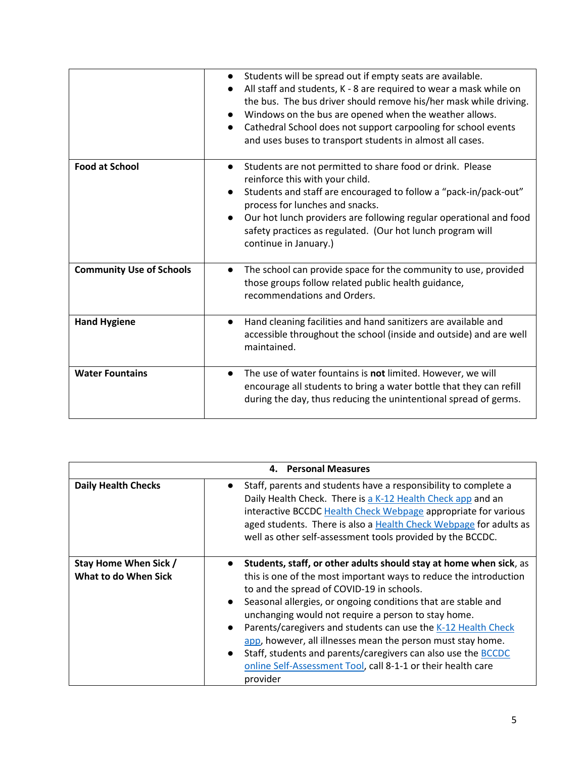|                                 | Students will be spread out if empty seats are available.<br>$\bullet$<br>All staff and students, K - 8 are required to wear a mask while on<br>the bus. The bus driver should remove his/her mask while driving.<br>Windows on the bus are opened when the weather allows.<br>Cathedral School does not support carpooling for school events<br>and uses buses to transport students in almost all cases. |
|---------------------------------|------------------------------------------------------------------------------------------------------------------------------------------------------------------------------------------------------------------------------------------------------------------------------------------------------------------------------------------------------------------------------------------------------------|
| <b>Food at School</b>           | Students are not permitted to share food or drink. Please<br>$\bullet$<br>reinforce this with your child.<br>Students and staff are encouraged to follow a "pack-in/pack-out"<br>process for lunches and snacks.<br>Our hot lunch providers are following regular operational and food<br>safety practices as regulated. (Our hot lunch program will<br>continue in January.)                              |
| <b>Community Use of Schools</b> | The school can provide space for the community to use, provided<br>those groups follow related public health guidance,<br>recommendations and Orders.                                                                                                                                                                                                                                                      |
| <b>Hand Hygiene</b>             | Hand cleaning facilities and hand sanitizers are available and<br>$\bullet$<br>accessible throughout the school (inside and outside) and are well<br>maintained.                                                                                                                                                                                                                                           |
| <b>Water Fountains</b>          | The use of water fountains is not limited. However, we will<br>$\bullet$<br>encourage all students to bring a water bottle that they can refill<br>during the day, thus reducing the unintentional spread of germs.                                                                                                                                                                                        |

| 4. Personal Measures                          |                                                                                                                                                                                                                                                                                                                                                                                                                                                                                                                                                                                                                     |
|-----------------------------------------------|---------------------------------------------------------------------------------------------------------------------------------------------------------------------------------------------------------------------------------------------------------------------------------------------------------------------------------------------------------------------------------------------------------------------------------------------------------------------------------------------------------------------------------------------------------------------------------------------------------------------|
| <b>Daily Health Checks</b>                    | Staff, parents and students have a responsibility to complete a<br>Daily Health Check. There is a K-12 Health Check app and an<br>interactive BCCDC Health Check Webpage appropriate for various<br>aged students. There is also a Health Check Webpage for adults as<br>well as other self-assessment tools provided by the BCCDC.                                                                                                                                                                                                                                                                                 |
| Stay Home When Sick /<br>What to do When Sick | Students, staff, or other adults should stay at home when sick, as<br>this is one of the most important ways to reduce the introduction<br>to and the spread of COVID-19 in schools.<br>Seasonal allergies, or ongoing conditions that are stable and<br>unchanging would not require a person to stay home.<br>Parents/caregivers and students can use the K-12 Health Check<br>$\bullet$<br>app, however, all illnesses mean the person must stay home.<br>Staff, students and parents/caregivers can also use the BCCDC<br>$\bullet$<br>online Self-Assessment Tool, call 8-1-1 or their health care<br>provider |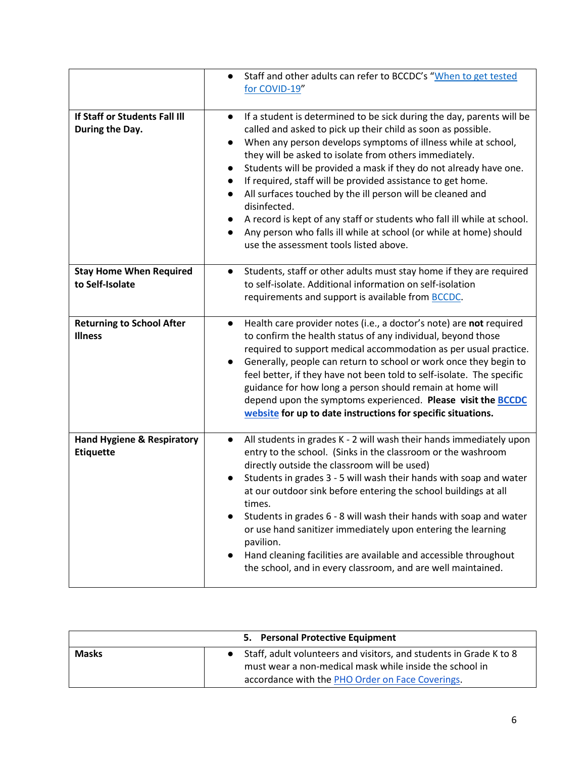|                                                           | Staff and other adults can refer to BCCDC's "When to get tested<br>for COVID-19"                                                                                                                                                                                                                                                                                                                                                                                                                                                                                                                                                                                                                        |
|-----------------------------------------------------------|---------------------------------------------------------------------------------------------------------------------------------------------------------------------------------------------------------------------------------------------------------------------------------------------------------------------------------------------------------------------------------------------------------------------------------------------------------------------------------------------------------------------------------------------------------------------------------------------------------------------------------------------------------------------------------------------------------|
| If Staff or Students Fall III<br>During the Day.          | If a student is determined to be sick during the day, parents will be<br>$\bullet$<br>called and asked to pick up their child as soon as possible.<br>When any person develops symptoms of illness while at school,<br>they will be asked to isolate from others immediately.<br>Students will be provided a mask if they do not already have one.<br>If required, staff will be provided assistance to get home.<br>$\bullet$<br>All surfaces touched by the ill person will be cleaned and<br>disinfected.<br>A record is kept of any staff or students who fall ill while at school.<br>Any person who falls ill while at school (or while at home) should<br>use the assessment tools listed above. |
| <b>Stay Home When Required</b><br>to Self-Isolate         | Students, staff or other adults must stay home if they are required<br>$\bullet$<br>to self-isolate. Additional information on self-isolation<br>requirements and support is available from <b>BCCDC</b> .                                                                                                                                                                                                                                                                                                                                                                                                                                                                                              |
| <b>Returning to School After</b><br><b>Illness</b>        | Health care provider notes (i.e., a doctor's note) are not required<br>$\bullet$<br>to confirm the health status of any individual, beyond those<br>required to support medical accommodation as per usual practice.<br>Generally, people can return to school or work once they begin to<br>$\bullet$<br>feel better, if they have not been told to self-isolate. The specific<br>guidance for how long a person should remain at home will<br>depend upon the symptoms experienced. Please visit the <b>BCCDC</b><br>website for up to date instructions for specific situations.                                                                                                                     |
| <b>Hand Hygiene &amp; Respiratory</b><br><b>Etiquette</b> | All students in grades K - 2 will wash their hands immediately upon<br>$\bullet$<br>entry to the school. (Sinks in the classroom or the washroom<br>directly outside the classroom will be used)<br>Students in grades 3 - 5 will wash their hands with soap and water<br>at our outdoor sink before entering the school buildings at all<br>times.<br>Students in grades 6 - 8 will wash their hands with soap and water<br>or use hand sanitizer immediately upon entering the learning<br>pavilion.<br>Hand cleaning facilities are available and accessible throughout<br>the school, and in every classroom, and are well maintained.                                                              |

|              | 5. Personal Protective Equipment                                                                                                                                                    |
|--------------|-------------------------------------------------------------------------------------------------------------------------------------------------------------------------------------|
| <b>Masks</b> | • Staff, adult volunteers and visitors, and students in Grade K to 8<br>must wear a non-medical mask while inside the school in<br>accordance with the PHO Order on Face Coverings. |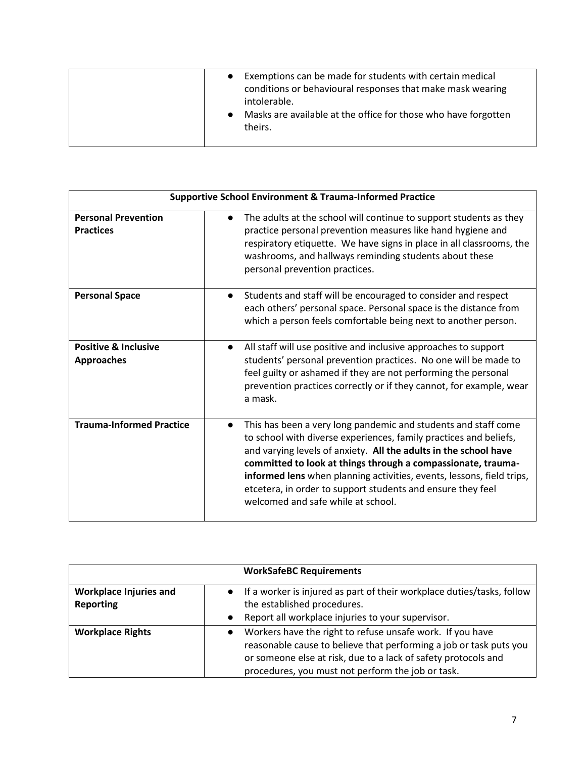| <b>Supportive School Environment &amp; Trauma-Informed Practice</b> |                                                                                                                                                                                                                                                                                                                                                                                                                                                       |
|---------------------------------------------------------------------|-------------------------------------------------------------------------------------------------------------------------------------------------------------------------------------------------------------------------------------------------------------------------------------------------------------------------------------------------------------------------------------------------------------------------------------------------------|
| <b>Personal Prevention</b><br><b>Practices</b>                      | The adults at the school will continue to support students as they<br>$\bullet$<br>practice personal prevention measures like hand hygiene and<br>respiratory etiquette. We have signs in place in all classrooms, the<br>washrooms, and hallways reminding students about these<br>personal prevention practices.                                                                                                                                    |
| <b>Personal Space</b>                                               | Students and staff will be encouraged to consider and respect<br>$\bullet$<br>each others' personal space. Personal space is the distance from<br>which a person feels comfortable being next to another person.                                                                                                                                                                                                                                      |
| <b>Positive &amp; Inclusive</b><br><b>Approaches</b>                | All staff will use positive and inclusive approaches to support<br>$\bullet$<br>students' personal prevention practices. No one will be made to<br>feel guilty or ashamed if they are not performing the personal<br>prevention practices correctly or if they cannot, for example, wear<br>a mask.                                                                                                                                                   |
| <b>Trauma-Informed Practice</b>                                     | This has been a very long pandemic and students and staff come<br>to school with diverse experiences, family practices and beliefs,<br>and varying levels of anxiety. All the adults in the school have<br>committed to look at things through a compassionate, trauma-<br>informed lens when planning activities, events, lessons, field trips,<br>etcetera, in order to support students and ensure they feel<br>welcomed and safe while at school. |

|                                                   | <b>WorkSafeBC Requirements</b>                                                                                                                                                                                                                         |
|---------------------------------------------------|--------------------------------------------------------------------------------------------------------------------------------------------------------------------------------------------------------------------------------------------------------|
| <b>Workplace Injuries and</b><br><b>Reporting</b> | • If a worker is injured as part of their workplace duties/tasks, follow<br>the established procedures.<br>Report all workplace injuries to your supervisor.<br>$\bullet$                                                                              |
| <b>Workplace Rights</b>                           | Workers have the right to refuse unsafe work. If you have<br>reasonable cause to believe that performing a job or task puts you<br>or someone else at risk, due to a lack of safety protocols and<br>procedures, you must not perform the job or task. |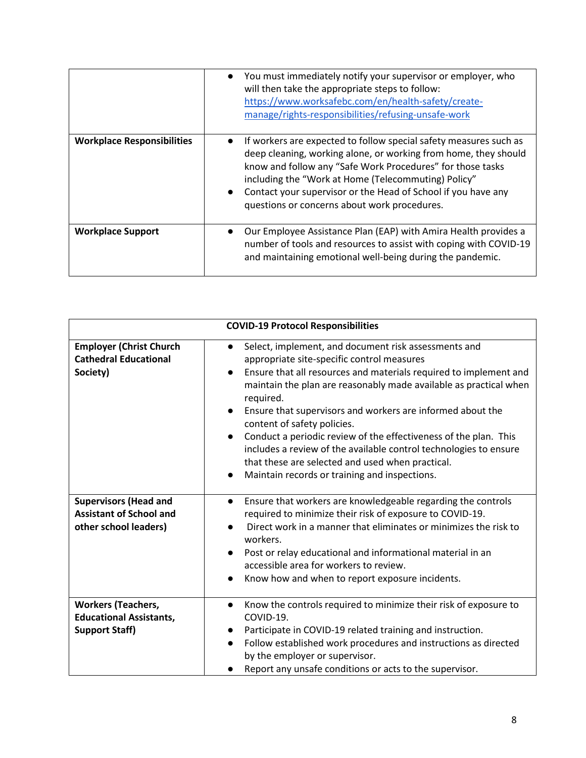|                                   | You must immediately notify your supervisor or employer, who<br>will then take the appropriate steps to follow:<br>https://www.worksafebc.com/en/health-safety/create-<br>manage/rights-responsibilities/refusing-unsafe-work                                                                                                                                                           |
|-----------------------------------|-----------------------------------------------------------------------------------------------------------------------------------------------------------------------------------------------------------------------------------------------------------------------------------------------------------------------------------------------------------------------------------------|
| <b>Workplace Responsibilities</b> | If workers are expected to follow special safety measures such as<br>deep cleaning, working alone, or working from home, they should<br>know and follow any "Safe Work Procedures" for those tasks<br>including the "Work at Home (Telecommuting) Policy"<br>Contact your supervisor or the Head of School if you have any<br>$\bullet$<br>questions or concerns about work procedures. |
| <b>Workplace Support</b>          | Our Employee Assistance Plan (EAP) with Amira Health provides a<br>number of tools and resources to assist with coping with COVID-19<br>and maintaining emotional well-being during the pandemic.                                                                                                                                                                                       |

| <b>COVID-19 Protocol Responsibilities</b>                                               |                                                                                                                                                                                                                                                                                                                                                                                                                                                                                                                                                                                                                                             |  |
|-----------------------------------------------------------------------------------------|---------------------------------------------------------------------------------------------------------------------------------------------------------------------------------------------------------------------------------------------------------------------------------------------------------------------------------------------------------------------------------------------------------------------------------------------------------------------------------------------------------------------------------------------------------------------------------------------------------------------------------------------|--|
| <b>Employer (Christ Church</b><br><b>Cathedral Educational</b><br>Society)              | Select, implement, and document risk assessments and<br>appropriate site-specific control measures<br>Ensure that all resources and materials required to implement and<br>$\bullet$<br>maintain the plan are reasonably made available as practical when<br>required.<br>Ensure that supervisors and workers are informed about the<br>$\bullet$<br>content of safety policies.<br>Conduct a periodic review of the effectiveness of the plan. This<br>includes a review of the available control technologies to ensure<br>that these are selected and used when practical.<br>Maintain records or training and inspections.<br>$\bullet$ |  |
| <b>Supervisors (Head and</b><br><b>Assistant of School and</b><br>other school leaders) | Ensure that workers are knowledgeable regarding the controls<br>$\bullet$<br>required to minimize their risk of exposure to COVID-19.<br>Direct work in a manner that eliminates or minimizes the risk to<br>workers.<br>Post or relay educational and informational material in an<br>accessible area for workers to review.<br>Know how and when to report exposure incidents.                                                                                                                                                                                                                                                            |  |
| <b>Workers (Teachers,</b><br><b>Educational Assistants,</b><br><b>Support Staff)</b>    | Know the controls required to minimize their risk of exposure to<br>$\bullet$<br>COVID-19.<br>Participate in COVID-19 related training and instruction.<br>$\bullet$<br>Follow established work procedures and instructions as directed<br>by the employer or supervisor.<br>Report any unsafe conditions or acts to the supervisor.                                                                                                                                                                                                                                                                                                        |  |